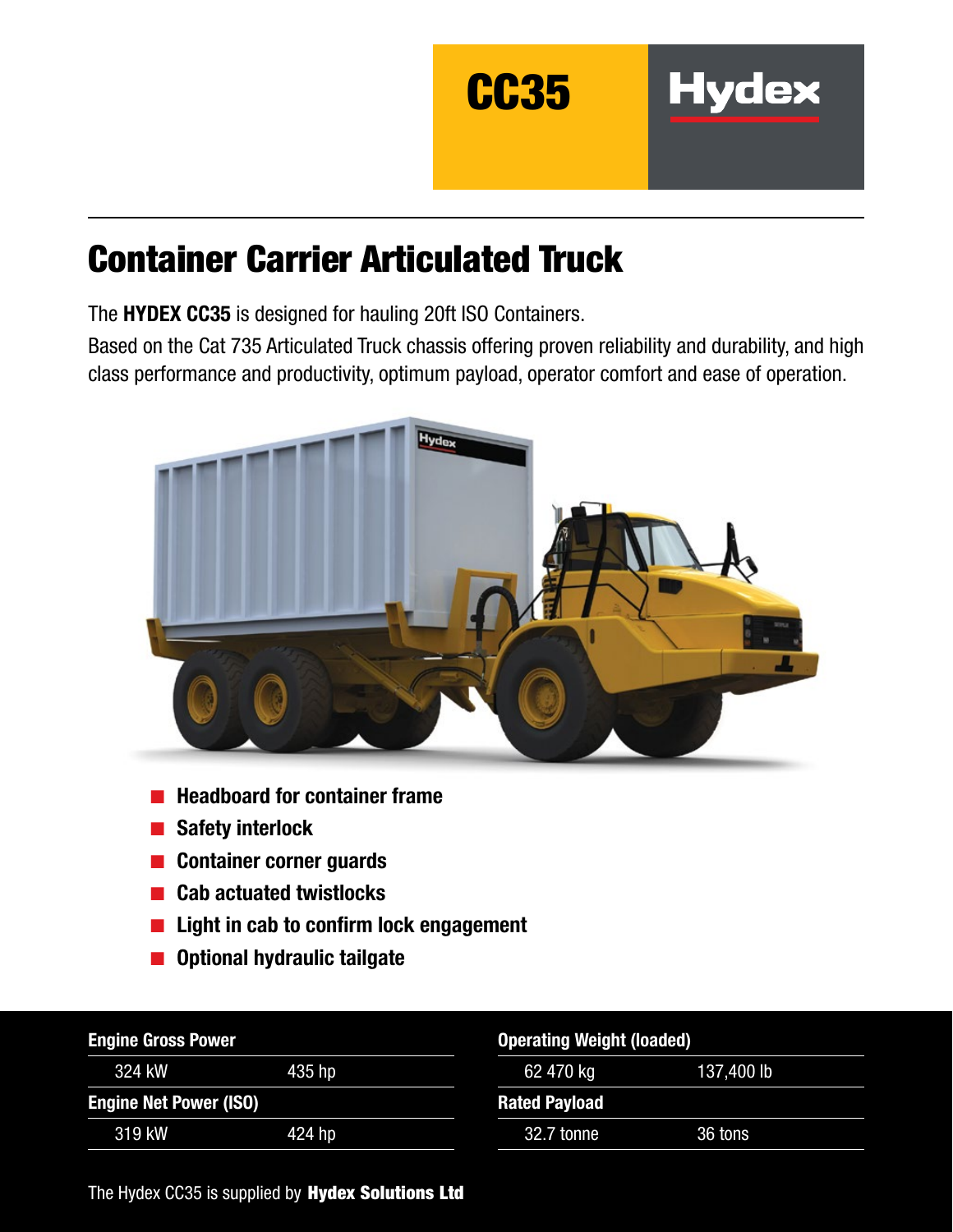

# Container Carrier Articulated Truck

The HYDEX CC35 is designed for hauling 20ft ISO Containers.

Based on the Cat 735 Articulated Truck chassis offering proven reliability and durability, and high class performance and productivity, optimum payload, operator comfort and ease of operation.



- Headboard for container frame
- Safety interlock
- Container corner guards
- **Cab actuated twistlocks**
- Light in cab to confirm lock engagement
- Optional hydraulic tailgate

| <b>Engine Gross Power</b>     |        | <b>Operating Weight (loaded)</b> |            |
|-------------------------------|--------|----------------------------------|------------|
| 324 kW                        | 435 hp | 62 470 kg                        | 137,400 lb |
| <b>Engine Net Power (ISO)</b> |        | <b>Rated Payload</b>             |            |
| 319 kW                        | 424 hp | 32.7 tonne                       | 36 tons    |

The Hydex CC35 is supplied by Hydex Solutions Ltd